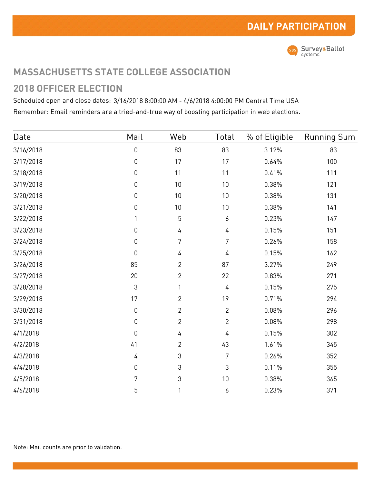

## **MASSACHUSETTS STATE COLLEGE ASSOCIATION**

## **2018 OFFICER ELECTION**

Scheduled open and close dates: 3/16/2018 8:00:00 AM - 4/6/2018 4:00:00 PM Central Time USA Remember: Email reminders are a tried-and-true way of boosting participation in web elections.

| Date      | Mail             | Web            | Total          | % of Eligible | <b>Running Sum</b> |
|-----------|------------------|----------------|----------------|---------------|--------------------|
| 3/16/2018 | $\boldsymbol{0}$ | 83             | 83             | 3.12%         | 83                 |
| 3/17/2018 | $\mathbf 0$      | 17             | 17             | 0.64%         | 100                |
| 3/18/2018 | $\boldsymbol{0}$ | 11             | 11             | 0.41%         | 111                |
| 3/19/2018 | $\boldsymbol{0}$ | $10\,$         | 10             | 0.38%         | 121                |
| 3/20/2018 | $\boldsymbol{0}$ | $10\,$         | 10             | 0.38%         | 131                |
| 3/21/2018 | $\boldsymbol{0}$ | $10\,$         | $10\,$         | 0.38%         | 141                |
| 3/22/2018 | 1                | 5              | 6              | 0.23%         | 147                |
| 3/23/2018 | $\boldsymbol{0}$ | 4              | 4              | 0.15%         | 151                |
| 3/24/2018 | $\boldsymbol{0}$ | 7              | 7              | 0.26%         | 158                |
| 3/25/2018 | $\boldsymbol{0}$ | 4              | 4              | 0.15%         | 162                |
| 3/26/2018 | 85               | $\overline{2}$ | 87             | 3.27%         | 249                |
| 3/27/2018 | 20               | $\overline{c}$ | 22             | 0.83%         | 271                |
| 3/28/2018 | 3                | 1              | 4              | 0.15%         | 275                |
| 3/29/2018 | 17               | $\overline{c}$ | 19             | 0.71%         | 294                |
| 3/30/2018 | $\boldsymbol{0}$ | $\overline{2}$ | $\overline{2}$ | 0.08%         | 296                |
| 3/31/2018 | $\boldsymbol{0}$ | $\overline{2}$ | $\overline{2}$ | 0.08%         | 298                |
| 4/1/2018  | $\mathbf 0$      | 4              | 4              | 0.15%         | 302                |
| 4/2/2018  | 41               | $\overline{2}$ | 43             | 1.61%         | 345                |
| 4/3/2018  | 4                | 3              | 7              | 0.26%         | 352                |
| 4/4/2018  | $\boldsymbol{0}$ | 3              | 3              | 0.11%         | 355                |
| 4/5/2018  | 7                | 3              | $10\,$         | 0.38%         | 365                |
| 4/6/2018  | 5                | 1              | 6              | 0.23%         | 371                |